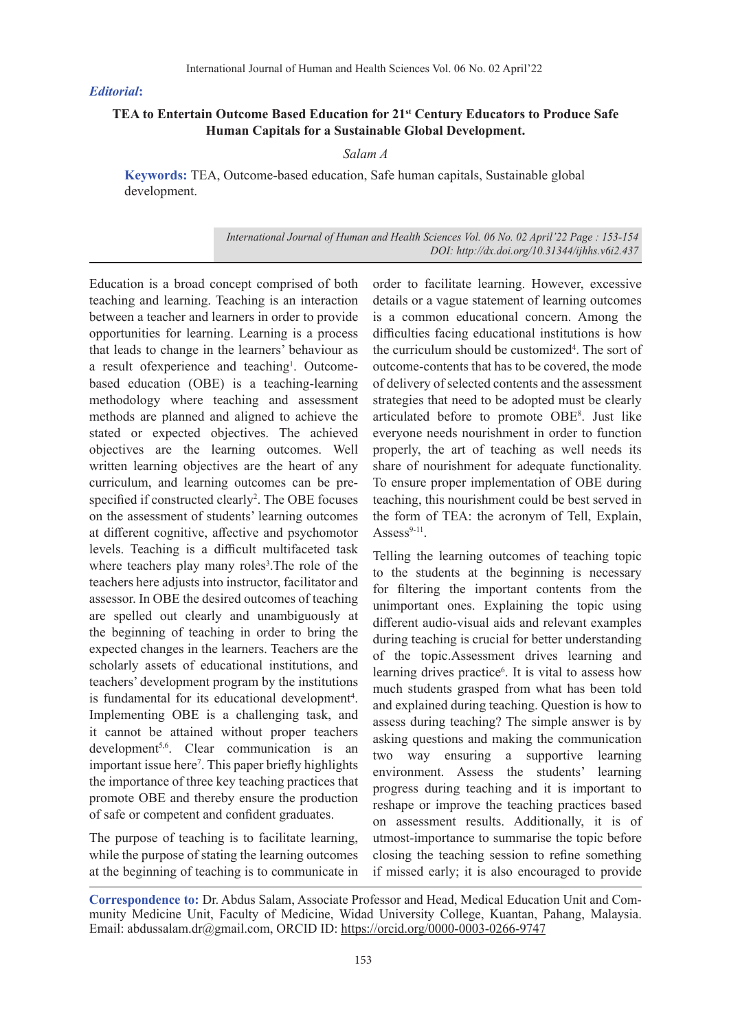#### *Editorial***:**

## **TEA to Entertain Outcome Based Education for 21st Century Educators to Produce Safe Human Capitals for a Sustainable Global Development.**

*Salam A*

**Keywords:** TEA, Outcome-based education, Safe human capitals, Sustainable global development.

> *International Journal of Human and Health Sciences Vol. 06 No. 02 April'22 Page : 153-154 DOI: http://dx.doi.org/10.31344/ijhhs.v6i2.437*

Education is a broad concept comprised of both teaching and learning. Teaching is an interaction between a teacher and learners in order to provide opportunities for learning. Learning is a process that leads to change in the learners' behaviour as a result of experience and teaching<sup>1</sup>. Outcomebased education (OBE) is a teaching-learning methodology where teaching and assessment methods are planned and aligned to achieve the stated or expected objectives. The achieved objectives are the learning outcomes. Well written learning objectives are the heart of any curriculum, and learning outcomes can be prespecified if constructed clearly<sup>2</sup>. The OBE focuses on the assessment of students' learning outcomes at different cognitive, affective and psychomotor levels. Teaching is a difficult multifaceted task where teachers play many roles<sup>3</sup>. The role of the teachers here adjusts into instructor, facilitator and assessor. In OBE the desired outcomes of teaching are spelled out clearly and unambiguously at the beginning of teaching in order to bring the expected changes in the learners. Teachers are the scholarly assets of educational institutions, and teachers' development program by the institutions is fundamental for its educational development<sup>4</sup>. Implementing OBE is a challenging task, and it cannot be attained without proper teachers development<sup>5,6</sup>. Clear communication is an important issue here<sup>7</sup>. This paper briefly highlights the importance of three key teaching practices that promote OBE and thereby ensure the production of safe or competent and confident graduates.

The purpose of teaching is to facilitate learning, while the purpose of stating the learning outcomes at the beginning of teaching is to communicate in order to facilitate learning. However, excessive details or a vague statement of learning outcomes is a common educational concern. Among the difficulties facing educational institutions is how the curriculum should be customized<sup>4</sup>. The sort of outcome-contents that has to be covered, the mode of delivery of selected contents and the assessment strategies that need to be adopted must be clearly articulated before to promote OBE8 . Just like everyone needs nourishment in order to function properly, the art of teaching as well needs its share of nourishment for adequate functionality. To ensure proper implementation of OBE during teaching, this nourishment could be best served in the form of TEA: the acronym of Tell, Explain,  $\text{Assess}^{9-11}$ .

Telling the learning outcomes of teaching topic to the students at the beginning is necessary for filtering the important contents from the unimportant ones. Explaining the topic using different audio-visual aids and relevant examples during teaching is crucial for better understanding of the topic.Assessment drives learning and learning drives practice<sup>6</sup>. It is vital to assess how much students grasped from what has been told and explained during teaching. Question is how to assess during teaching? The simple answer is by asking questions and making the communication two way ensuring a supportive learning environment. Assess the students' learning progress during teaching and it is important to reshape or improve the teaching practices based on assessment results. Additionally, it is of utmost-importance to summarise the topic before closing the teaching session to refine something if missed early; it is also encouraged to provide

**Correspondence to:** Dr. Abdus Salam, Associate Professor and Head, Medical Education Unit and Community Medicine Unit, Faculty of Medicine, Widad University College, Kuantan, Pahang, Malaysia. Email: abdussalam.dr@gmail.com, ORCID ID: https://orcid.org/0000-0003-0266-9747